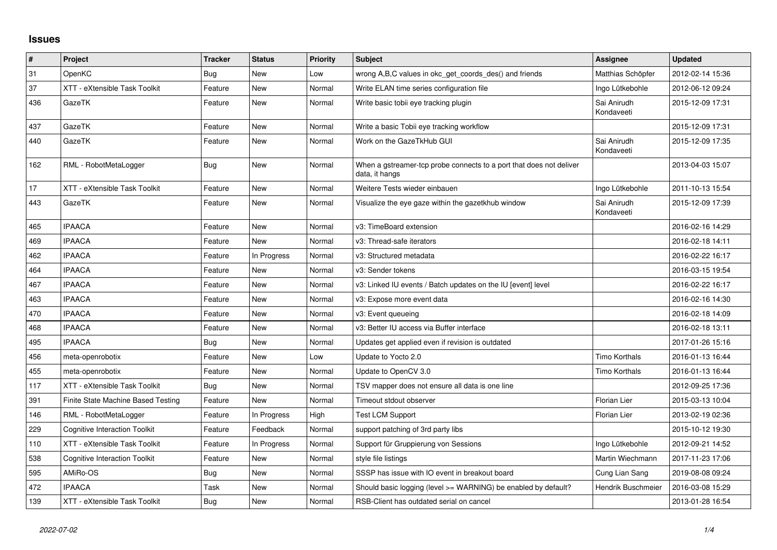## **Issues**

| #   | Project                              | <b>Tracker</b> | <b>Status</b> | <b>Priority</b> | <b>Subject</b>                                                                        | Assignee                  | <b>Updated</b>   |
|-----|--------------------------------------|----------------|---------------|-----------------|---------------------------------------------------------------------------------------|---------------------------|------------------|
| 31  | OpenKC                               | <b>Bug</b>     | <b>New</b>    | Low             | wrong A, B, C values in okc get coords des() and friends                              | Matthias Schöpfer         | 2012-02-14 15:36 |
| 37  | XTT - eXtensible Task Toolkit        | Feature        | <b>New</b>    | Normal          | Write ELAN time series configuration file                                             | Ingo Lütkebohle           | 2012-06-12 09:24 |
| 436 | GazeTK                               | Feature        | New           | Normal          | Write basic tobii eye tracking plugin                                                 | Sai Anirudh<br>Kondaveeti | 2015-12-09 17:31 |
| 437 | GazeTK                               | Feature        | <b>New</b>    | Normal          | Write a basic Tobii eye tracking workflow                                             |                           | 2015-12-09 17:31 |
| 440 | GazeTK                               | Feature        | New           | Normal          | Work on the GazeTkHub GUI                                                             | Sai Anirudh<br>Kondaveeti | 2015-12-09 17:35 |
| 162 | RML - RobotMetaLogger                | Bug            | New           | Normal          | When a gstreamer-tcp probe connects to a port that does not deliver<br>data, it hangs |                           | 2013-04-03 15:07 |
| 17  | XTT - eXtensible Task Toolkit        | Feature        | New           | Normal          | Weitere Tests wieder einbauen                                                         | Ingo Lütkebohle           | 2011-10-13 15:54 |
| 443 | GazeTK                               | Feature        | <b>New</b>    | Normal          | Visualize the eye gaze within the gazetkhub window                                    | Sai Anirudh<br>Kondaveeti | 2015-12-09 17:39 |
| 465 | <b>IPAACA</b>                        | Feature        | New           | Normal          | v3: TimeBoard extension                                                               |                           | 2016-02-16 14:29 |
| 469 | <b>IPAACA</b>                        | Feature        | <b>New</b>    | Normal          | v3: Thread-safe iterators                                                             |                           | 2016-02-18 14:11 |
| 462 | <b>IPAACA</b>                        | Feature        | In Progress   | Normal          | v3: Structured metadata                                                               |                           | 2016-02-22 16:17 |
| 464 | <b>IPAACA</b>                        | Feature        | <b>New</b>    | Normal          | v3: Sender tokens                                                                     |                           | 2016-03-15 19:54 |
| 467 | <b>IPAACA</b>                        | Feature        | New           | Normal          | v3: Linked IU events / Batch updates on the IU [event] level                          |                           | 2016-02-22 16:17 |
| 463 | <b>IPAACA</b>                        | Feature        | <b>New</b>    | Normal          | v3: Expose more event data                                                            |                           | 2016-02-16 14:30 |
| 470 | <b>IPAACA</b>                        | Feature        | <b>New</b>    | Normal          | v3: Event queueing                                                                    |                           | 2016-02-18 14:09 |
| 468 | <b>IPAACA</b>                        | Feature        | New           | Normal          | v3: Better IU access via Buffer interface                                             |                           | 2016-02-18 13:11 |
| 495 | <b>IPAACA</b>                        | Bug            | <b>New</b>    | Normal          | Updates get applied even if revision is outdated                                      |                           | 2017-01-26 15:16 |
| 456 | meta-openrobotix                     | Feature        | <b>New</b>    | Low             | Update to Yocto 2.0                                                                   | <b>Timo Korthals</b>      | 2016-01-13 16:44 |
| 455 | meta-openrobotix                     | Feature        | <b>New</b>    | Normal          | Update to OpenCV 3.0                                                                  | Timo Korthals             | 2016-01-13 16:44 |
| 117 | XTT - eXtensible Task Toolkit        | Bug            | New           | Normal          | TSV mapper does not ensure all data is one line                                       |                           | 2012-09-25 17:36 |
| 391 | Finite State Machine Based Testing   | Feature        | New           | Normal          | Timeout stdout observer                                                               | <b>Florian Lier</b>       | 2015-03-13 10:04 |
| 146 | RML - RobotMetaLogger                | Feature        | In Progress   | High            | <b>Test LCM Support</b>                                                               | <b>Florian Lier</b>       | 2013-02-19 02:36 |
| 229 | <b>Cognitive Interaction Toolkit</b> | Feature        | Feedback      | Normal          | support patching of 3rd party libs                                                    |                           | 2015-10-12 19:30 |
| 110 | XTT - eXtensible Task Toolkit        | Feature        | In Progress   | Normal          | Support für Gruppierung von Sessions                                                  | Ingo Lütkebohle           | 2012-09-21 14:52 |
| 538 | <b>Cognitive Interaction Toolkit</b> | Feature        | New           | Normal          | style file listings                                                                   | Martin Wiechmann          | 2017-11-23 17:06 |
| 595 | AMiRo-OS                             | Bug            | New           | Normal          | SSSP has issue with IO event in breakout board                                        | Cung Lian Sang            | 2019-08-08 09:24 |
| 472 | <b>IPAACA</b>                        | Task           | <b>New</b>    | Normal          | Should basic logging (level >= WARNING) be enabled by default?                        | <b>Hendrik Buschmeier</b> | 2016-03-08 15:29 |
| 139 | XTT - eXtensible Task Toolkit        | <b>Bug</b>     | New           | Normal          | RSB-Client has outdated serial on cancel                                              |                           | 2013-01-28 16:54 |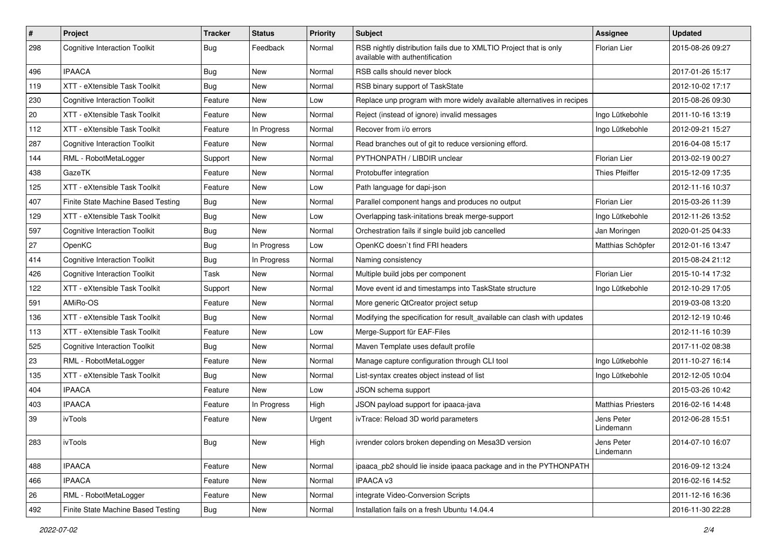| $\#$ | Project                              | <b>Tracker</b> | <b>Status</b> | <b>Priority</b> | Subject                                                                                              | <b>Assignee</b>           | <b>Updated</b>   |
|------|--------------------------------------|----------------|---------------|-----------------|------------------------------------------------------------------------------------------------------|---------------------------|------------------|
| 298  | <b>Cognitive Interaction Toolkit</b> | Bug            | Feedback      | Normal          | RSB nightly distribution fails due to XMLTIO Project that is only<br>available with authentification | Florian Lier              | 2015-08-26 09:27 |
| 496  | <b>IPAACA</b>                        | Bug            | <b>New</b>    | Normal          | RSB calls should never block                                                                         |                           | 2017-01-26 15:17 |
| 119  | XTT - eXtensible Task Toolkit        | <b>Bug</b>     | <b>New</b>    | Normal          | RSB binary support of TaskState                                                                      |                           | 2012-10-02 17:17 |
| 230  | <b>Cognitive Interaction Toolkit</b> | Feature        | <b>New</b>    | Low             | Replace unp program with more widely available alternatives in recipes                               |                           | 2015-08-26 09:30 |
| 20   | XTT - eXtensible Task Toolkit        | Feature        | New           | Normal          | Reject (instead of ignore) invalid messages                                                          | Ingo Lütkebohle           | 2011-10-16 13:19 |
| 112  | XTT - eXtensible Task Toolkit        | Feature        | In Progress   | Normal          | Recover from i/o errors                                                                              | Ingo Lütkebohle           | 2012-09-21 15:27 |
| 287  | <b>Cognitive Interaction Toolkit</b> | Feature        | New           | Normal          | Read branches out of git to reduce versioning efford.                                                |                           | 2016-04-08 15:17 |
| 144  | RML - RobotMetaLogger                | Support        | <b>New</b>    | Normal          | PYTHONPATH / LIBDIR unclear                                                                          | Florian Lier              | 2013-02-19 00:27 |
| 438  | GazeTK                               | Feature        | <b>New</b>    | Normal          | Protobuffer integration                                                                              | <b>Thies Pfeiffer</b>     | 2015-12-09 17:35 |
| 125  | XTT - eXtensible Task Toolkit        | Feature        | <b>New</b>    | Low             | Path language for dapi-json                                                                          |                           | 2012-11-16 10:37 |
| 407  | Finite State Machine Based Testing   | Bug            | <b>New</b>    | Normal          | Parallel component hangs and produces no output                                                      | Florian Lier              | 2015-03-26 11:39 |
| 129  | XTT - eXtensible Task Toolkit        | Bug            | <b>New</b>    | Low             | Overlapping task-initations break merge-support                                                      | Ingo Lütkebohle           | 2012-11-26 13:52 |
| 597  | <b>Cognitive Interaction Toolkit</b> | Bug            | <b>New</b>    | Normal          | Orchestration fails if single build job cancelled                                                    | Jan Moringen              | 2020-01-25 04:33 |
| 27   | OpenKC                               | <b>Bug</b>     | In Progress   | Low             | OpenKC doesn't find FRI headers                                                                      | Matthias Schöpfer         | 2012-01-16 13:47 |
| 414  | <b>Cognitive Interaction Toolkit</b> | Bug            | In Progress   | Normal          | Naming consistency                                                                                   |                           | 2015-08-24 21:12 |
| 426  | <b>Cognitive Interaction Toolkit</b> | Task           | <b>New</b>    | Normal          | Multiple build jobs per component                                                                    | Florian Lier              | 2015-10-14 17:32 |
| 122  | XTT - eXtensible Task Toolkit        | Support        | <b>New</b>    | Normal          | Move event id and timestamps into TaskState structure                                                | Ingo Lütkebohle           | 2012-10-29 17:05 |
| 591  | AMiRo-OS                             | Feature        | New           | Normal          | More generic QtCreator project setup                                                                 |                           | 2019-03-08 13:20 |
| 136  | XTT - eXtensible Task Toolkit        | Bug            | <b>New</b>    | Normal          | Modifying the specification for result_available can clash with updates                              |                           | 2012-12-19 10:46 |
| 113  | XTT - eXtensible Task Toolkit        | Feature        | New           | Low             | Merge-Support für EAF-Files                                                                          |                           | 2012-11-16 10:39 |
| 525  | <b>Cognitive Interaction Toolkit</b> | Bug            | <b>New</b>    | Normal          | Maven Template uses default profile                                                                  |                           | 2017-11-02 08:38 |
| 23   | RML - RobotMetaLogger                | Feature        | <b>New</b>    | Normal          | Manage capture configuration through CLI tool                                                        | Ingo Lütkebohle           | 2011-10-27 16:14 |
| 135  | XTT - eXtensible Task Toolkit        | Bug            | New           | Normal          | List-syntax creates object instead of list                                                           | Ingo Lütkebohle           | 2012-12-05 10:04 |
| 404  | <b>IPAACA</b>                        | Feature        | <b>New</b>    | Low             | JSON schema support                                                                                  |                           | 2015-03-26 10:42 |
| 403  | <b>IPAACA</b>                        | Feature        | In Progress   | High            | JSON payload support for ipaaca-java                                                                 | <b>Matthias Priesters</b> | 2016-02-16 14:48 |
| 39   | ivTools                              | Feature        | New           | Urgent          | ivTrace: Reload 3D world parameters                                                                  | Jens Peter<br>Lindemann   | 2012-06-28 15:51 |
| 283  | ivTools                              | Bug            | New           | High            | ivrender colors broken depending on Mesa3D version                                                   | Jens Peter<br>Lindemann   | 2014-07-10 16:07 |
| 488  | <b>IPAACA</b>                        | Feature        | New           | Normal          | ipaaca_pb2 should lie inside ipaaca package and in the PYTHONPATH                                    |                           | 2016-09-12 13:24 |
| 466  | <b>IPAACA</b>                        | Feature        | <b>New</b>    | Normal          | IPAACA v3                                                                                            |                           | 2016-02-16 14:52 |
| 26   | RML - RobotMetaLogger                | Feature        | New           | Normal          | integrate Video-Conversion Scripts                                                                   |                           | 2011-12-16 16:36 |
| 492  | Finite State Machine Based Testing   | <b>Bug</b>     | New           | Normal          | Installation fails on a fresh Ubuntu 14.04.4                                                         |                           | 2016-11-30 22:28 |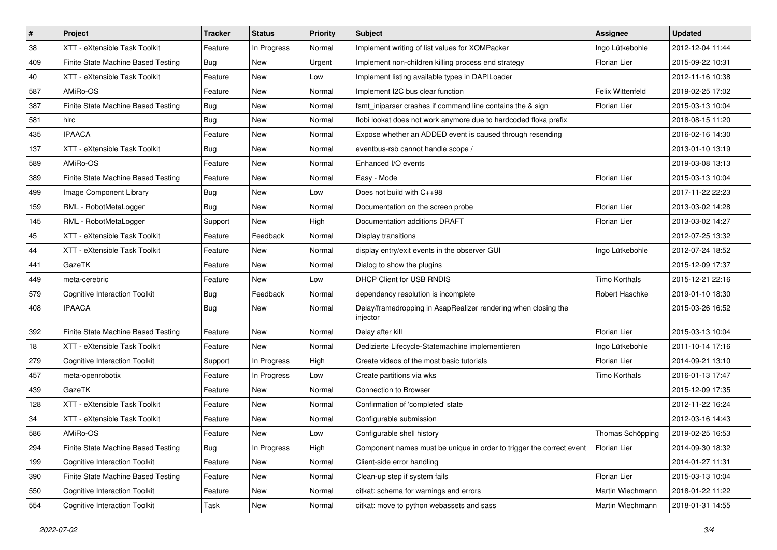| #   | Project                              | <b>Tracker</b> | <b>Status</b> | <b>Priority</b> | Subject                                                                    | <b>Assignee</b>      | <b>Updated</b>   |
|-----|--------------------------------------|----------------|---------------|-----------------|----------------------------------------------------------------------------|----------------------|------------------|
| 38  | XTT - eXtensible Task Toolkit        | Feature        | In Progress   | Normal          | Implement writing of list values for XOMPacker                             | Ingo Lütkebohle      | 2012-12-04 11:44 |
| 409 | Finite State Machine Based Testing   | Bug            | <b>New</b>    | Urgent          | Implement non-children killing process end strategy                        | Florian Lier         | 2015-09-22 10:31 |
| 40  | XTT - eXtensible Task Toolkit        | Feature        | <b>New</b>    | Low             | Implement listing available types in DAPILoader                            |                      | 2012-11-16 10:38 |
| 587 | AMiRo-OS                             | Feature        | New           | Normal          | Implement I2C bus clear function                                           | Felix Wittenfeld     | 2019-02-25 17:02 |
| 387 | Finite State Machine Based Testing   | Bug            | <b>New</b>    | Normal          | fsmt_iniparser crashes if command line contains the & sign                 | Florian Lier         | 2015-03-13 10:04 |
| 581 | hlrc                                 | Bug            | New           | Normal          | flobi lookat does not work anymore due to hardcoded floka prefix           |                      | 2018-08-15 11:20 |
| 435 | <b>IPAACA</b>                        | Feature        | New           | Normal          | Expose whether an ADDED event is caused through resending                  |                      | 2016-02-16 14:30 |
| 137 | XTT - eXtensible Task Toolkit        | Bug            | <b>New</b>    | Normal          | eventbus-rsb cannot handle scope /                                         |                      | 2013-01-10 13:19 |
| 589 | AMiRo-OS                             | Feature        | <b>New</b>    | Normal          | Enhanced I/O events                                                        |                      | 2019-03-08 13:13 |
| 389 | Finite State Machine Based Testing   | Feature        | New           | Normal          | Easy - Mode                                                                | Florian Lier         | 2015-03-13 10:04 |
| 499 | Image Component Library              | Bug            | New           | Low             | Does not build with C++98                                                  |                      | 2017-11-22 22:23 |
| 159 | RML - RobotMetaLogger                | Bug            | <b>New</b>    | Normal          | Documentation on the screen probe                                          | <b>Florian Lier</b>  | 2013-03-02 14:28 |
| 145 | RML - RobotMetaLogger                | Support        | <b>New</b>    | High            | Documentation additions DRAFT                                              | Florian Lier         | 2013-03-02 14:27 |
| 45  | XTT - eXtensible Task Toolkit        | Feature        | Feedback      | Normal          | Display transitions                                                        |                      | 2012-07-25 13:32 |
| 44  | XTT - eXtensible Task Toolkit        | Feature        | <b>New</b>    | Normal          | display entry/exit events in the observer GUI                              | Ingo Lütkebohle      | 2012-07-24 18:52 |
| 441 | GazeTK                               | Feature        | New           | Normal          | Dialog to show the plugins                                                 |                      | 2015-12-09 17:37 |
| 449 | meta-cerebric                        | Feature        | New           | Low             | <b>DHCP Client for USB RNDIS</b>                                           | Timo Korthals        | 2015-12-21 22:16 |
| 579 | <b>Cognitive Interaction Toolkit</b> | Bug            | Feedback      | Normal          | dependency resolution is incomplete                                        | Robert Haschke       | 2019-01-10 18:30 |
| 408 | <b>IPAACA</b>                        | Bug            | New           | Normal          | Delay/framedropping in AsapRealizer rendering when closing the<br>injector |                      | 2015-03-26 16:52 |
| 392 | Finite State Machine Based Testing   | Feature        | <b>New</b>    | Normal          | Delay after kill                                                           | <b>Florian Lier</b>  | 2015-03-13 10:04 |
| 18  | XTT - eXtensible Task Toolkit        | Feature        | New           | Normal          | Dedizierte Lifecycle-Statemachine implementieren                           | Ingo Lütkebohle      | 2011-10-14 17:16 |
| 279 | <b>Cognitive Interaction Toolkit</b> | Support        | In Progress   | High            | Create videos of the most basic tutorials                                  | Florian Lier         | 2014-09-21 13:10 |
| 457 | meta-openrobotix                     | Feature        | In Progress   | Low             | Create partitions via wks                                                  | <b>Timo Korthals</b> | 2016-01-13 17:47 |
| 439 | GazeTK                               | Feature        | <b>New</b>    | Normal          | <b>Connection to Browser</b>                                               |                      | 2015-12-09 17:35 |
| 128 | XTT - eXtensible Task Toolkit        | Feature        | <b>New</b>    | Normal          | Confirmation of 'completed' state                                          |                      | 2012-11-22 16:24 |
| 34  | XTT - eXtensible Task Toolkit        | Feature        | New           | Normal          | Configurable submission                                                    |                      | 2012-03-16 14:43 |
| 586 | AMiRo-OS                             | Feature        | New           | Low             | Configurable shell history                                                 | Thomas Schöpping     | 2019-02-25 16:53 |
| 294 | Finite State Machine Based Testing   | Bug            | In Progress   | High            | Component names must be unique in order to trigger the correct event       | Florian Lier         | 2014-09-30 18:32 |
| 199 | <b>Cognitive Interaction Toolkit</b> | Feature        | New           | Normal          | Client-side error handling                                                 |                      | 2014-01-27 11:31 |
| 390 | Finite State Machine Based Testing   | Feature        | New           | Normal          | Clean-up step if system fails                                              | Florian Lier         | 2015-03-13 10:04 |
| 550 | <b>Cognitive Interaction Toolkit</b> | Feature        | New           | Normal          | citkat: schema for warnings and errors                                     | Martin Wiechmann     | 2018-01-22 11:22 |
| 554 | <b>Cognitive Interaction Toolkit</b> | Task           | New           | Normal          | citkat: move to python webassets and sass                                  | Martin Wiechmann     | 2018-01-31 14:55 |